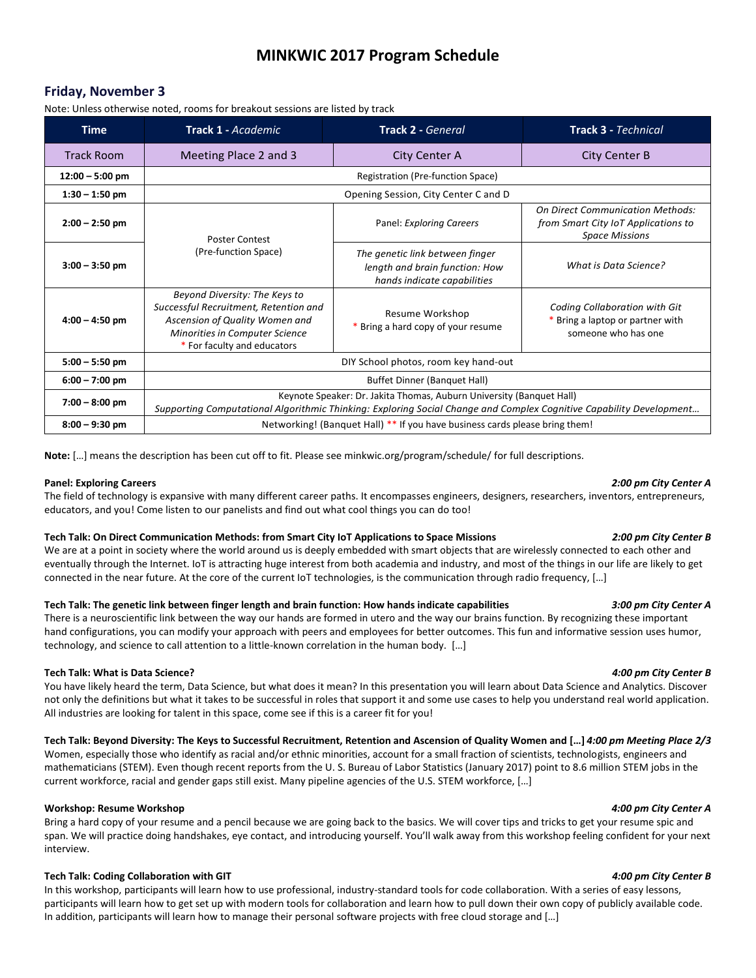# **MINKWIC 2017 Program Schedule**

# **Friday, November 3**

Note: Unless otherwise noted, rooms for breakout sessions are listed by track

| <b>Time</b>       | Track 1 - Academic                                                                                                                                                                          | <b>Track 2 - General</b>                                                                         | <b>Track 3 - Technical</b>                                                                              |  |
|-------------------|---------------------------------------------------------------------------------------------------------------------------------------------------------------------------------------------|--------------------------------------------------------------------------------------------------|---------------------------------------------------------------------------------------------------------|--|
| <b>Track Room</b> | Meeting Place 2 and 3                                                                                                                                                                       | <b>City Center A</b>                                                                             | <b>City Center B</b>                                                                                    |  |
| $12:00 - 5:00$ pm | Registration (Pre-function Space)                                                                                                                                                           |                                                                                                  |                                                                                                         |  |
| $1:30 - 1:50$ pm  | Opening Session, City Center C and D                                                                                                                                                        |                                                                                                  |                                                                                                         |  |
| $2:00 - 2:50$ pm  | <b>Poster Contest</b><br>(Pre-function Space)                                                                                                                                               | Panel: Exploring Careers                                                                         | <b>On Direct Communication Methods:</b><br>from Smart City IoT Applications to<br><b>Space Missions</b> |  |
| $3:00 - 3:50$ pm  |                                                                                                                                                                                             | The genetic link between finger<br>length and brain function: How<br>hands indicate capabilities | What is Data Science?                                                                                   |  |
| $4:00 - 4:50$ pm  | Beyond Diversity: The Keys to<br>Successful Recruitment, Retention and<br>Ascension of Quality Women and<br>Minorities in Computer Science<br>* For faculty and educators                   | Resume Workshop<br>* Bring a hard copy of your resume                                            | Coding Collaboration with Git<br>* Bring a laptop or partner with<br>someone who has one                |  |
| $5:00 - 5:50$ pm  | DIY School photos, room key hand-out                                                                                                                                                        |                                                                                                  |                                                                                                         |  |
| $6:00 - 7:00$ pm  | Buffet Dinner (Banquet Hall)                                                                                                                                                                |                                                                                                  |                                                                                                         |  |
| $7:00 - 8:00$ pm  | Keynote Speaker: Dr. Jakita Thomas, Auburn University (Banquet Hall)<br>Supporting Computational Algorithmic Thinking: Exploring Social Change and Complex Cognitive Capability Development |                                                                                                  |                                                                                                         |  |
| $8:00 - 9:30$ pm  | Networking! (Banquet Hall) ** If you have business cards please bring them!                                                                                                                 |                                                                                                  |                                                                                                         |  |

**Note:** […] means the description has been cut off to fit. Please see minkwic.org/program/schedule/ for full descriptions.

### **Panel: Exploring Careers** *2:00 pm City Center A*

The field of technology is expansive with many different career paths. It encompasses engineers, designers, researchers, inventors, entrepreneurs, educators, and you! Come listen to our panelists and find out what cool things you can do too!

### **Tech Talk: On Direct Communication Methods: from Smart City IoT Applications to Space Missions** *2:00 pm City Center B*

We are at a point in society where the world around us is deeply embedded with smart objects that are wirelessly connected to each other and eventually through the Internet. IoT is attracting huge interest from both academia and industry, and most of the things in our life are likely to get connected in the near future. At the core of the current IoT technologies, is the communication through radio frequency, […]

### **Tech Talk: The genetic link between finger length and brain function: How hands indicate capabilities** *3:00 pm City Center A*

There is a neuroscientific link between the way our hands are formed in utero and the way our brains function. By recognizing these important hand configurations, you can modify your approach with peers and employees for better outcomes. This fun and informative session uses humor, technology, and science to call attention to a little-known correlation in the human body. […]

# **Tech Talk: What is Data Science?** *4:00 pm City Center B*

You have likely heard the term, Data Science, but what does it mean? In this presentation you will learn about Data Science and Analytics. Discover not only the definitions but what it takes to be successful in roles that support it and some use cases to help you understand real world application. All industries are looking for talent in this space, come see if this is a career fit for you!

# **Tech Talk: Beyond Diversity: The Keys to Successful Recruitment, Retention and Ascension of Quality Women and […]** *4:00 pm Meeting Place 2/3*

Women, especially those who identify as racial and/or ethnic minorities, account for a small fraction of scientists, technologists, engineers and mathematicians (STEM). Even though recent reports from the U. S. Bureau of Labor Statistics (January 2017) point to 8.6 million STEM jobs in the current workforce, racial and gender gaps still exist. Many pipeline agencies of the U.S. STEM workforce, […]

### **Workshop: Resume Workshop** *4:00 pm City Center A*

Bring a hard copy of your resume and a pencil because we are going back to the basics. We will cover tips and tricks to get your resume spic and span. We will practice doing handshakes, eye contact, and introducing yourself. You'll walk away from this workshop feeling confident for your next interview.

# **Tech Talk: Coding Collaboration with GIT** *4:00 pm City Center B*

In this workshop, participants will learn how to use professional, industry-standard tools for code collaboration. With a series of easy lessons, participants will learn how to get set up with modern tools for collaboration and learn how to pull down their own copy of publicly available code. In addition, participants will learn how to manage their personal software projects with free cloud storage and […]